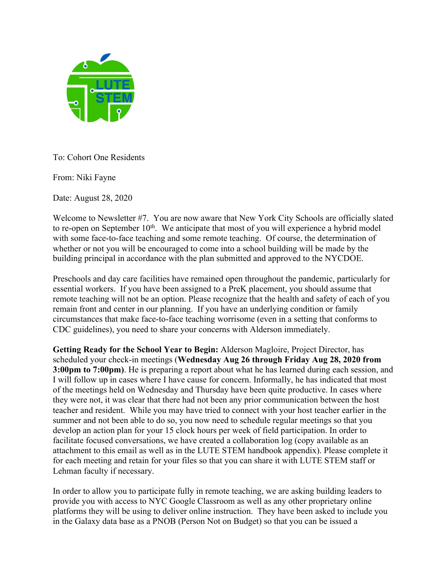

To: Cohort One Residents

From: Niki Fayne

Date: August 28, 2020

Welcome to Newsletter #7. You are now aware that New York City Schools are officially slated to re-open on September  $10<sup>th</sup>$ . We anticipate that most of you will experience a hybrid model with some face-to-face teaching and some remote teaching. Of course, the determination of whether or not you will be encouraged to come into a school building will be made by the building principal in accordance with the plan submitted and approved to the NYCDOE.

Preschools and day care facilities have remained open throughout the pandemic, particularly for essential workers. If you have been assigned to a PreK placement, you should assume that remote teaching will not be an option. Please recognize that the health and safety of each of you remain front and center in our planning. If you have an underlying condition or family circumstances that make face-to-face teaching worrisome (even in a setting that conforms to CDC guidelines), you need to share your concerns with Alderson immediately.

**Getting Ready for the School Year to Begin:** Alderson Magloire, Project Director, has scheduled your check-in meetings (**Wednesday Aug 26 through Friday Aug 28, 2020 from 3:00pm to 7:00pm)**. He is preparing a report about what he has learned during each session, and I will follow up in cases where I have cause for concern. Informally, he has indicated that most of the meetings held on Wednesday and Thursday have been quite productive. In cases where they were not, it was clear that there had not been any prior communication between the host teacher and resident. While you may have tried to connect with your host teacher earlier in the summer and not been able to do so, you now need to schedule regular meetings so that you develop an action plan for your 15 clock hours per week of field participation. In order to facilitate focused conversations, we have created a collaboration log (copy available as an attachment to this email as well as in the LUTE STEM handbook appendix). Please complete it for each meeting and retain for your files so that you can share it with LUTE STEM staff or Lehman faculty if necessary.

In order to allow you to participate fully in remote teaching, we are asking building leaders to provide you with access to NYC Google Classroom as well as any other proprietary online platforms they will be using to deliver online instruction. They have been asked to include you in the Galaxy data base as a PNOB (Person Not on Budget) so that you can be issued a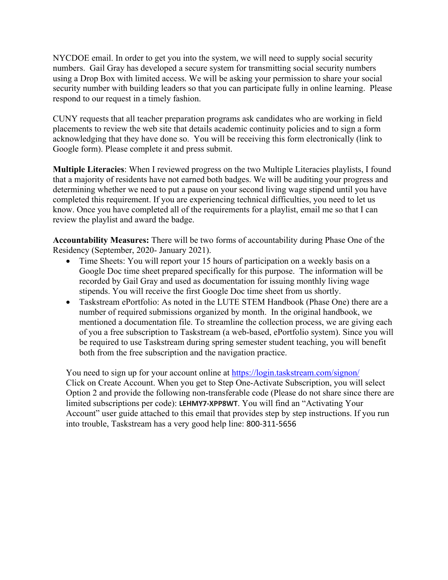NYCDOE email. In order to get you into the system, we will need to supply social security numbers. Gail Gray has developed a secure system for transmitting social security numbers using a Drop Box with limited access. We will be asking your permission to share your social security number with building leaders so that you can participate fully in online learning. Please respond to our request in a timely fashion.

CUNY requests that all teacher preparation programs ask candidates who are working in field placements to review the web site that details academic continuity policies and to sign a form acknowledging that they have done so. You will be receiving this form electronically (link to Google form). Please complete it and press submit.

**Multiple Literacies**: When I reviewed progress on the two Multiple Literacies playlists, I found that a majority of residents have not earned both badges. We will be auditing your progress and determining whether we need to put a pause on your second living wage stipend until you have completed this requirement. If you are experiencing technical difficulties, you need to let us know. Once you have completed all of the requirements for a playlist, email me so that I can review the playlist and award the badge.

**Accountability Measures:** There will be two forms of accountability during Phase One of the Residency (September, 2020- January 2021).

- Time Sheets: You will report your 15 hours of participation on a weekly basis on a Google Doc time sheet prepared specifically for this purpose. The information will be recorded by Gail Gray and used as documentation for issuing monthly living wage stipends. You will receive the first Google Doc time sheet from us shortly.
- Taskstream ePortfolio: As noted in the LUTE STEM Handbook (Phase One) there are a number of required submissions organized by month. In the original handbook, we mentioned a documentation file. To streamline the collection process, we are giving each of you a free subscription to Taskstream (a web-based, ePortfolio system). Since you will be required to use Taskstream during spring semester student teaching, you will benefit both from the free subscription and the navigation practice.

You need to sign up for your account online at https://login.taskstream.com/signon/ Click on Create Account. When you get to Step One-Activate Subscription, you will select Option 2 and provide the following non-transferable code (Please do not share since there are limited subscriptions per code): **LEHMY7-XPP8WT**. You will find an "Activating Your Account" user guide attached to this email that provides step by step instructions. If you run into trouble, Taskstream has a very good help line: 800-311-5656